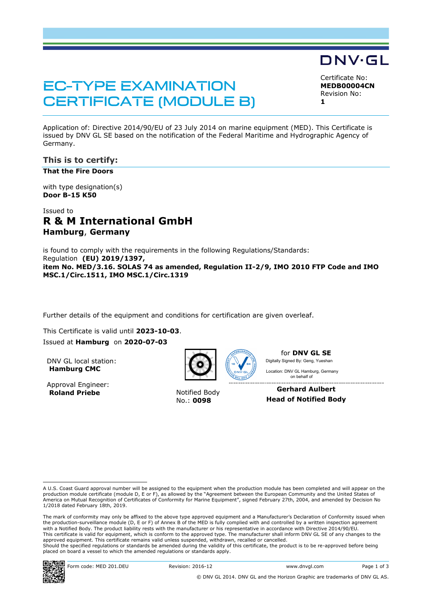# **EC-TYPE EXAMINATION CERTIFICATE (MODULE B)**

Certificate No:

DNV·GL

**MEDB00004CN** Revision No: **1**

Application of: Directive 2014/90/EU of 23 July 2014 on marine equipment (MED). This Certificate is issued by DNV GL SE based on the notification of the Federal Maritime and Hydrographic Agency of Germany.

## **This is to certify:**

**That the Fire Doors**

with type designation(s) **Door B-15 K50**

# Issued to **R & M International GmbH Hamburg**, **Germany**

is found to comply with the requirements in the following Regulations/Standards: Regulation **(EU) 2019/1397, item No. MED/3.16. SOLAS 74 as amended, Regulation II-2/9, IMO 2010 FTP Code and IMO MSC.1/Circ.1511, IMO MSC.1/Circ.1319**

Further details of the equipment and conditions for certification are given overleaf.

This Certificate is valid until **2023-10-03**.

Issued at **Hamburg** on **2020-07-03**

DNV GL local station: **Hamburg CMC**

Approval Engineer: **Roland Priebe** Notified Body



No.: **0098**

for **DNV GL SE** Digitally Signed By: Geng, Yueshan

 on behalf ofLocation: DNV GL Hamburg, Germany

**Gerhard Aulbert Head of Notified Body**

The mark of conformity may only be affixed to the above type approved equipment and a Manufacturer's Declaration of Conformity issued when the production-surveillance module (D, E or F) of Annex B of the MED is fully complied with and controlled by a written inspection agreement with a Notified Body. The product liability rests with the manufacturer or his representative in accordance with Directive 2014/90/EU. This certificate is valid for equipment, which is conform to the approved type. The manufacturer shall inform DNV GL SE of any changes to the approved equipment. This certificate remains valid unless suspended, withdrawn, recalled or cancelled. Should the specified regulations or standards be amended during the validity of this certificate, the product is to be re-approved before being placed on board a vessel to which the amended regulations or standards apply.



A U.S. Coast Guard approval number will be assigned to the equipment when the production module has been completed and will appear on the production module certificate (module D, E or F), as allowed by the "Agreement between the European Community and the United States of<br>America on Mutual Recognition of Certificates of Conformity for Marine Equipment", sign 1/2018 dated February 18th, 2019.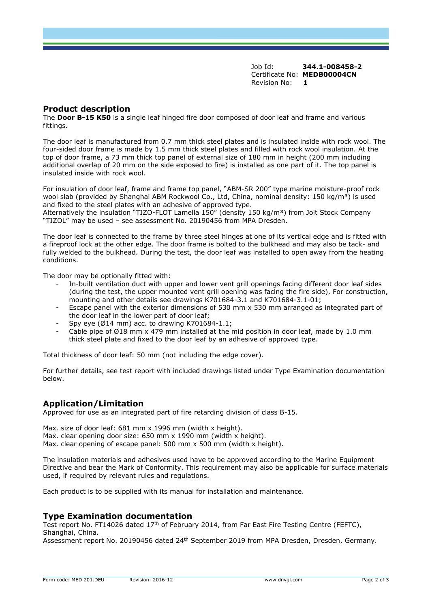Job Id: **344.1-008458-2** Certificate No: **MEDB00004CN** Revision No: **1**

## **Product description**

The **Door B-15 K50** is a single leaf hinged fire door composed of door leaf and frame and various fittings.

The door leaf is manufactured from 0.7 mm thick steel plates and is insulated inside with rock wool. The four-sided door frame is made by 1.5 mm thick steel plates and filled with rock wool insulation. At the top of door frame, a 73 mm thick top panel of external size of 180 mm in height (200 mm including additional overlap of 20 mm on the side exposed to fire) is installed as one part of it. The top panel is insulated inside with rock wool.

For insulation of door leaf, frame and frame top panel, "ABM-SR 200" type marine moisture-proof rock wool slab (provided by Shanghai ABM Rockwool Co., Ltd, China, nominal density: 150 kg/m<sup>3</sup>) is used and fixed to the steel plates with an adhesive of approved type.

Alternatively the insulation "TIZO-FLOT Lamella 150" (density 150 kg/m<sup>3</sup>) from Joit Stock Company "TIZOL" may be used – see assessment No. 20190456 from MPA Dresden.

The door leaf is connected to the frame by three steel hinges at one of its vertical edge and is fitted with a fireproof lock at the other edge. The door frame is bolted to the bulkhead and may also be tack- and fully welded to the bulkhead. During the test, the door leaf was installed to open away from the heating conditions.

The door may be optionally fitted with:

- In-built ventilation duct with upper and lower vent grill openings facing different door leaf sides (during the test, the upper mounted vent grill opening was facing the fire side). For construction, mounting and other details see drawings K701684-3.1 and K701684-3.1-01;
- Escape panel with the exterior dimensions of 530 mm x 530 mm arranged as integrated part of the door leaf in the lower part of door leaf;
- Spy eye ( $Ø14$  mm) acc. to drawing K701684-1.1;
- Cable pipe of Ø18 mm x 479 mm installed at the mid position in door leaf, made by 1.0 mm thick steel plate and fixed to the door leaf by an adhesive of approved type.

Total thickness of door leaf: 50 mm (not including the edge cover).

For further details, see test report with included drawings listed under Type Examination documentation below.

#### **Application/Limitation**

Approved for use as an integrated part of fire retarding division of class B-15.

Max. size of door leaf: 681 mm x 1996 mm (width x height). Max. clear opening door size: 650 mm x 1990 mm (width x height). Max. clear opening of escape panel: 500 mm x 500 mm (width x height).

The insulation materials and adhesives used have to be approved according to the Marine Equipment Directive and bear the Mark of Conformity. This requirement may also be applicable for surface materials used, if required by relevant rules and regulations.

Each product is to be supplied with its manual for installation and maintenance.

#### **Type Examination documentation**

Test report No. FT14026 dated 17<sup>th</sup> of February 2014, from Far East Fire Testing Centre (FEFTC), Shanghai, China.

Assessment report No. 20190456 dated 24<sup>th</sup> September 2019 from MPA Dresden, Dresden, Germany.